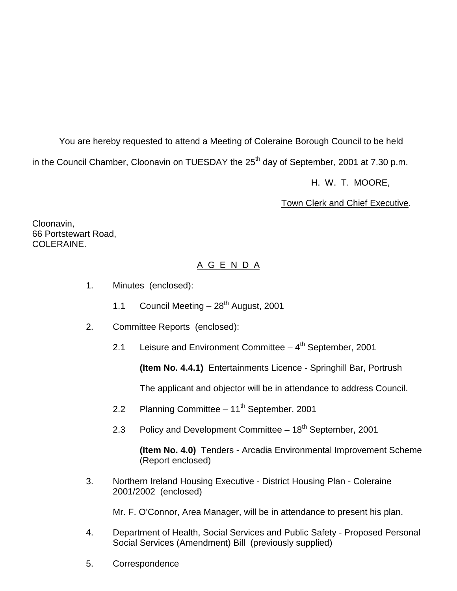You are hereby requested to attend a Meeting of Coleraine Borough Council to be held in the Council Chamber, Cloonavin on TUESDAY the 25<sup>th</sup> day of September, 2001 at 7.30 p.m. H. W. T. MOORE,

Town Clerk and Chief Executive.

Cloonavin, 66 Portstewart Road, COLERAINE.

## A G E N D A

- 1. Minutes (enclosed):
	- 1.1 Council Meeting  $-28^{th}$  August, 2001
- 2. Committee Reports (enclosed):
	- 2.1 Leisure and Environment Committee  $-4<sup>th</sup>$  September, 2001

**(Item No. 4.4.1)** Entertainments Licence - Springhill Bar, Portrush

The applicant and objector will be in attendance to address Council.

- 2.2 Planning Committee 11<sup>th</sup> September, 2001
- 2.3 Policy and Development Committee 18<sup>th</sup> September, 2001

**(Item No. 4.0)** Tenders - Arcadia Environmental Improvement Scheme (Report enclosed)

3. Northern Ireland Housing Executive - District Housing Plan - Coleraine 2001/2002 (enclosed)

Mr. F. O'Connor, Area Manager, will be in attendance to present his plan.

- 4. Department of Health, Social Services and Public Safety Proposed Personal Social Services (Amendment) Bill (previously supplied)
- 5. Correspondence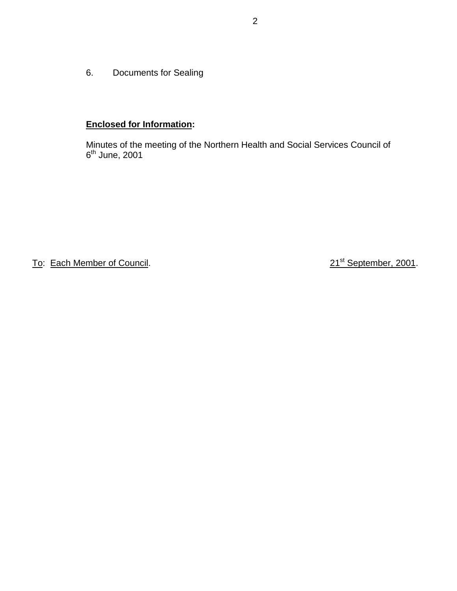6. Documents for Sealing

# **Enclosed for Information:**

Minutes of the meeting of the Northern Health and Social Services Council of 6<sup>th</sup> June, 2001

To: Each Member of Council. 2001. 21<sup>st</sup> September, 2001.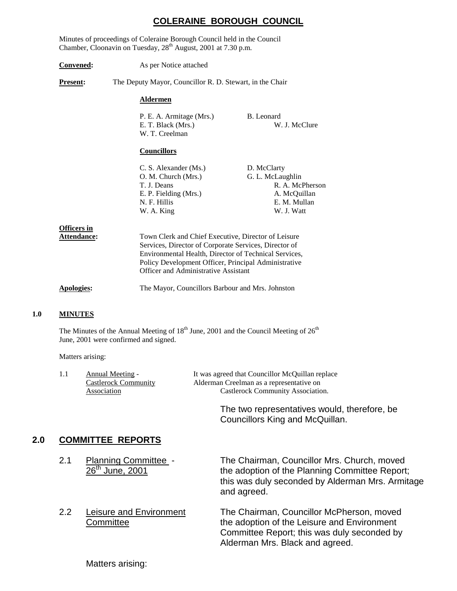## **COLERAINE BOROUGH COUNCIL**

Minutes of proceedings of Coleraine Borough Council held in the Council Chamber, Cloonavin on Tuesday, 28<sup>th</sup> August, 2001 at 7.30 p.m.

**Convened:** As per Notice attached **Present:** The Deputy Mayor, Councillor R. D. Stewart, in the Chair **Aldermen** P. E. A. Armitage (Mrs.) B. Leonard E. T. Black (Mrs.) W. J. McClure W. T. Creelman **Councillors** C. S. Alexander (Ms.) D. McClarty O. M. Church (Mrs.) G. L. McLaughlin T. J. Deans R. A. McPherson E. P. Fielding (Mrs.) A. McQuillan N. F. Hillis E. M. Mullan W. A. King W. J. Watt **Officers in** Attendance: Town Clerk and Chief Executive, Director of Leisure Services, Director of Corporate Services, Director of Environmental Health, Director of Technical Services, Policy Development Officer, Principal Administrative Officer and Administrative Assistant **Apologies:** The Mayor, Councillors Barbour and Mrs. Johnston

#### **1.0 MINUTES**

The Minutes of the Annual Meeting of  $18<sup>th</sup>$  June, 2001 and the Council Meeting of  $26<sup>th</sup>$ June, 2001 were confirmed and signed.

Matters arising:

| Annual Meeting -     | It was agreed that Councillor McQuillan replace |
|----------------------|-------------------------------------------------|
| Castlerock Community | Alderman Creelman as a representative on        |
| Association          | Castlerock Community Association.               |
|                      |                                                 |

The two representatives would, therefore, be Councillors King and McQuillan.

#### **2.0 COMMITTEE REPORTS**

| 2.1 | <b>Planning Committee -</b><br>26 <sup>th</sup> June, 2001 | The Chairman, Councillor Mrs. Church, moved<br>the adoption of the Planning Committee Report;<br>this was duly seconded by Alderman Mrs. Armitage<br>and agreed. |
|-----|------------------------------------------------------------|------------------------------------------------------------------------------------------------------------------------------------------------------------------|
|     |                                                            |                                                                                                                                                                  |

2.2 Leisure and Environment The Chairman, Councillor McPherson, moved Committee **the adoption of the Leisure and Environment** Committee Report; this was duly seconded by Alderman Mrs. Black and agreed.

Matters arising: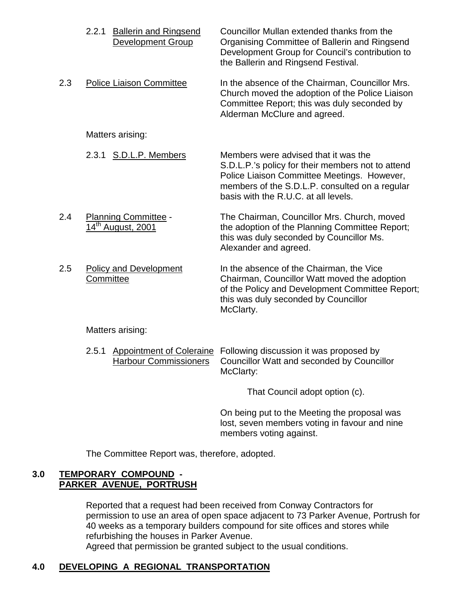|     | <b>Ballerin and Ringsend</b><br>2.2.1<br><b>Development Group</b> | Councillor Mullan extended thanks from the<br>Organising Committee of Ballerin and Ringsend<br>Development Group for Council's contribution to<br>the Ballerin and Ringsend Festival.                                              |
|-----|-------------------------------------------------------------------|------------------------------------------------------------------------------------------------------------------------------------------------------------------------------------------------------------------------------------|
| 2.3 | <b>Police Liaison Committee</b>                                   | In the absence of the Chairman, Councillor Mrs.<br>Church moved the adoption of the Police Liaison<br>Committee Report; this was duly seconded by<br>Alderman McClure and agreed.                                                  |
|     | Matters arising:                                                  |                                                                                                                                                                                                                                    |
|     | 2.3.1 S.D.L.P. Members                                            | Members were advised that it was the<br>S.D.L.P.'s policy for their members not to attend<br>Police Liaison Committee Meetings. However,<br>members of the S.D.L.P. consulted on a regular<br>basis with the R.U.C. at all levels. |
| 2.4 | Planning Committee -<br>14 <sup>th</sup> August, 2001             | The Chairman, Councillor Mrs. Church, moved<br>the adoption of the Planning Committee Report;<br>this was duly seconded by Councillor Ms.<br>Alexander and agreed.                                                                 |
| 2.5 | <b>Policy and Development</b><br>Committee                        | In the absence of the Chairman, the Vice<br>Chairman, Councillor Watt moved the adoption<br>of the Policy and Development Committee Report;<br>this was duly seconded by Councillor<br>McClarty.                                   |
|     | Matters arising:                                                  |                                                                                                                                                                                                                                    |
|     | 2.5.1                                                             | Appointment of Coleraine Following discussion it was proposed by                                                                                                                                                                   |

Harbour Commissioners Councillor Watt and seconded by Councillor McClarty:

That Council adopt option (c).

On being put to the Meeting the proposal was lost, seven members voting in favour and nine members voting against.

The Committee Report was, therefore, adopted.

## **3.0 TEMPORARY COMPOUND - PARKER AVENUE, PORTRUSH**

Reported that a request had been received from Conway Contractors for permission to use an area of open space adjacent to 73 Parker Avenue, Portrush for 40 weeks as a temporary builders compound for site offices and stores while refurbishing the houses in Parker Avenue. Agreed that permission be granted subject to the usual conditions.

# **4.0 DEVELOPING A REGIONAL TRANSPORTATION**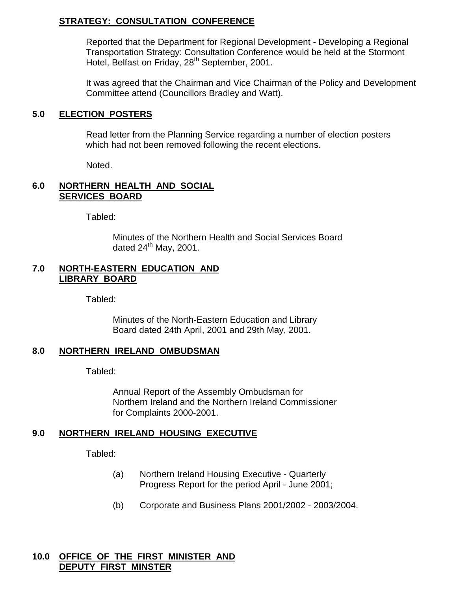# **STRATEGY: CONSULTATION CONFERENCE**

Reported that the Department for Regional Development - Developing a Regional Transportation Strategy: Consultation Conference would be held at the Stormont Hotel, Belfast on Friday, 28<sup>th</sup> September, 2001.

It was agreed that the Chairman and Vice Chairman of the Policy and Development Committee attend (Councillors Bradley and Watt).

#### **5.0 ELECTION POSTERS**

Read letter from the Planning Service regarding a number of election posters which had not been removed following the recent elections.

Noted.

## **6.0 NORTHERN HEALTH AND SOCIAL SERVICES BOARD**

Tabled:

Minutes of the Northern Health and Social Services Board dated  $24<sup>th</sup>$  May, 2001.

## **7.0 NORTH-EASTERN EDUCATION AND LIBRARY BOARD**

Tabled:

Minutes of the North-Eastern Education and Library Board dated 24th April, 2001 and 29th May, 2001.

# **8.0 NORTHERN IRELAND OMBUDSMAN**

Tabled:

Annual Report of the Assembly Ombudsman for Northern Ireland and the Northern Ireland Commissioner for Complaints 2000-2001.

# **9.0 NORTHERN IRELAND HOUSING EXECUTIVE**

Tabled:

- (a) Northern Ireland Housing Executive Quarterly Progress Report for the period April - June 2001;
- (b) Corporate and Business Plans 2001/2002 2003/2004.

#### **10.0 OFFICE OF THE FIRST MINISTER AND DEPUTY FIRST MINSTER**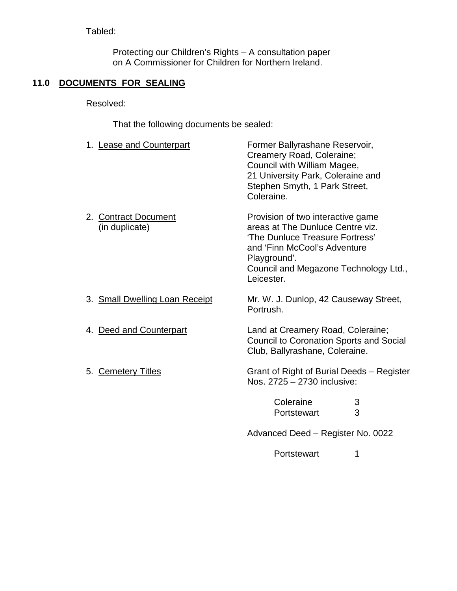# Tabled:

Protecting our Children's Rights – A consultation paper on A Commissioner for Children for Northern Ireland.

# **11.0 DOCUMENTS FOR SEALING**

Resolved:

That the following documents be sealed:

| 1. Lease and Counterpart               | Former Ballyrashane Reservoir,<br>Creamery Road, Coleraine;<br>Council with William Magee,<br>21 University Park, Coleraine and<br>Stephen Smyth, 1 Park Street,<br>Coleraine.                                  |
|----------------------------------------|-----------------------------------------------------------------------------------------------------------------------------------------------------------------------------------------------------------------|
| 2. Contract Document<br>(in duplicate) | Provision of two interactive game<br>areas at The Dunluce Centre viz.<br>'The Dunluce Treasure Fortress'<br>and 'Finn McCool's Adventure<br>Playground'.<br>Council and Megazone Technology Ltd.,<br>Leicester. |
| 3. Small Dwelling Loan Receipt         | Mr. W. J. Dunlop, 42 Causeway Street,<br>Portrush.                                                                                                                                                              |
| 4. Deed and Counterpart                | Land at Creamery Road, Coleraine;<br><b>Council to Coronation Sports and Social</b><br>Club, Ballyrashane, Coleraine.                                                                                           |
| 5. Cemetery Titles                     | Grant of Right of Burial Deeds - Register<br>Nos. 2725 - 2730 inclusive:                                                                                                                                        |
|                                        | Coleraine<br>3                                                                                                                                                                                                  |
|                                        | 3<br>Portstewart                                                                                                                                                                                                |
|                                        |                                                                                                                                                                                                                 |

Advanced Deed – Register No. 0022

Portstewart 1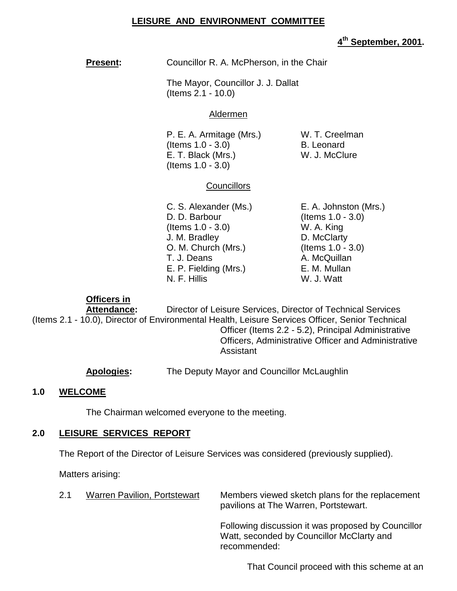## **LEISURE AND ENVIRONMENT COMMITTEE**

#### **4th September, 2001.**

**Present:** Councillor R. A. McPherson, in the Chair

The Mayor, Councillor J. J. Dallat (Items 2.1 - 10.0)

#### Aldermen

P. E. A. Armitage (Mrs.) W. T. Creelman  $($ ltems  $1.0 - 3.0)$  B. Leonard E. T. Black (Mrs.) W. J. McClure (Items 1.0 - 3.0)

## **Councillors**

D. D. Barbour (Items 1.0 - 3.0) (Items 1.0 - 3.0) W. A. King J. M. Bradley D. McClarty O. M. Church (Mrs.) (Items 1.0 - 3.0) T. J. Deans A. McQuillan E. P. Fielding (Mrs.) E. M. Mullan N. F. Hillis W. J. Watt

C. S. Alexander (Ms.) E. A. Johnston (Mrs.)

#### **Officers in**

**Attendance:** Director of Leisure Services, Director of Technical Services (Items 2.1 - 10.0), Director of Environmental Health, Leisure Services Officer, Senior Technical Officer (Items 2.2 - 5.2), Principal Administrative Officers, Administrative Officer and Administrative Assistant

**Apologies:** The Deputy Mayor and Councillor McLaughlin

#### **1.0 WELCOME**

The Chairman welcomed everyone to the meeting.

#### **2.0 LEISURE SERVICES REPORT**

The Report of the Director of Leisure Services was considered (previously supplied).

Matters arising:

| 2.1 | <b>Warren Pavilion, Portstewart</b> | Members viewed sketch plans for the replacement<br>pavilions at The Warren, Portstewart.        |
|-----|-------------------------------------|-------------------------------------------------------------------------------------------------|
|     |                                     | Following discussion it was proposed by Councillor<br>Watt, seconded by Councillor McClarty and |

recommended:

That Council proceed with this scheme at an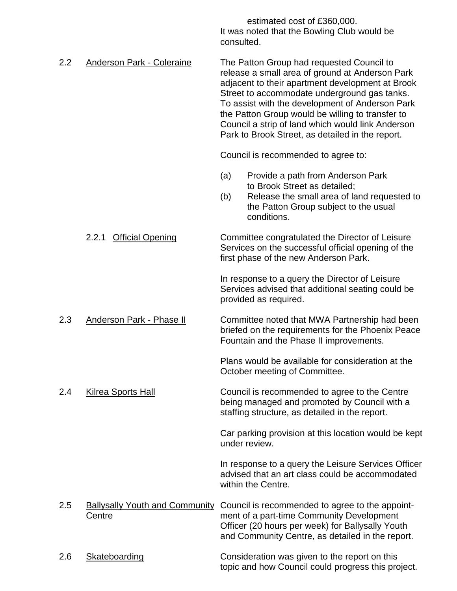estimated cost of £360,000. It was noted that the Bowling Club would be consulted.

2.2 Anderson Park - Coleraine The Patton Group had requested Council to release a small area of ground at Anderson Park adjacent to their apartment development at Brook Street to accommodate underground gas tanks. To assist with the development of Anderson Park the Patton Group would be willing to transfer to Council a strip of land which would link Anderson Park to Brook Street, as detailed in the report.

Council is recommended to agree to:

- (a) Provide a path from Anderson Park to Brook Street as detailed;
- (b) Release the small area of land requested to the Patton Group subject to the usual conditions.

2.2.1 Official Opening Committee congratulated the Director of Leisure Services on the successful official opening of the first phase of the new Anderson Park.

> In response to a query the Director of Leisure Services advised that additional seating could be provided as required.

2.3 Anderson Park - Phase II Committee noted that MWA Partnership had been briefed on the requirements for the Phoenix Peace Fountain and the Phase II improvements.

> Plans would be available for consideration at the October meeting of Committee.

2.4 Kilrea Sports Hall Council is recommended to agree to the Centre being managed and promoted by Council with a staffing structure, as detailed in the report.

> Car parking provision at this location would be kept under review.

> In response to a query the Leisure Services Officer advised that an art class could be accommodated within the Centre.

2.5 Ballysally Youth and Community Council is recommended to agree to the appoint-Centre ment of a part-time Community Development Officer (20 hours per week) for Ballysally Youth and Community Centre, as detailed in the report.

## 2.6 Skateboarding Consideration was given to the report on this topic and how Council could progress this project.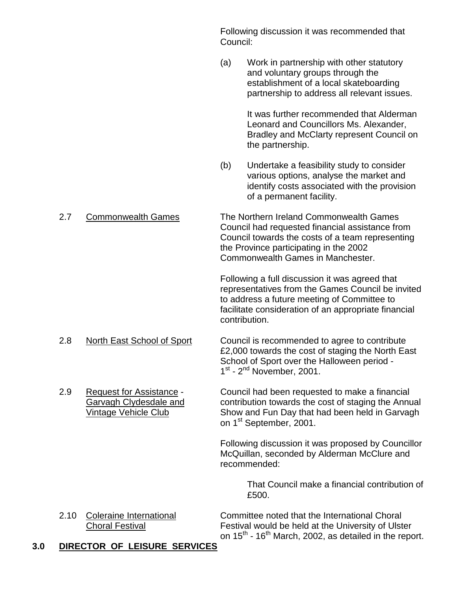Following discussion it was recommended that Council:

(a) Work in partnership with other statutory and voluntary groups through the establishment of a local skateboarding partnership to address all relevant issues.

> It was further recommended that Alderman Leonard and Councillors Ms. Alexander, Bradley and McClarty represent Council on the partnership.

(b) Undertake a feasibility study to consider various options, analyse the market and identify costs associated with the provision of a permanent facility.

# 2.7 Commonwealth Games The Northern Ireland Commonwealth Games Council had requested financial assistance from Council towards the costs of a team representing the Province participating in the 2002 Commonwealth Games in Manchester.

Following a full discussion it was agreed that representatives from the Games Council be invited to address a future meeting of Committee to facilitate consideration of an appropriate financial contribution.

- 2.8 North East School of Sport Council is recommended to agree to contribute £2,000 towards the cost of staging the North East School of Sport over the Halloween period -  $1<sup>st</sup>$  -  $2<sup>nd</sup>$  November, 2001.
- 2.9 Request for Assistance Council had been requested to make a financial Garvagh Clydesdale and contribution towards the cost of staging the Annual Vintage Vehicle Club Show and Fun Day that had been held in Garvagh on 1<sup>st</sup> September, 2001.

Following discussion it was proposed by Councillor McQuillan, seconded by Alderman McClure and recommended:

> That Council make a financial contribution of £500.

2.10 Coleraine International Committee noted that the International Choral Choral Festival Festival would be held at the University of Ulster on  $15^{th}$  -  $16^{th}$  March, 2002, as detailed in the report.

# **3.0 DIRECTOR OF LEISURE SERVICES**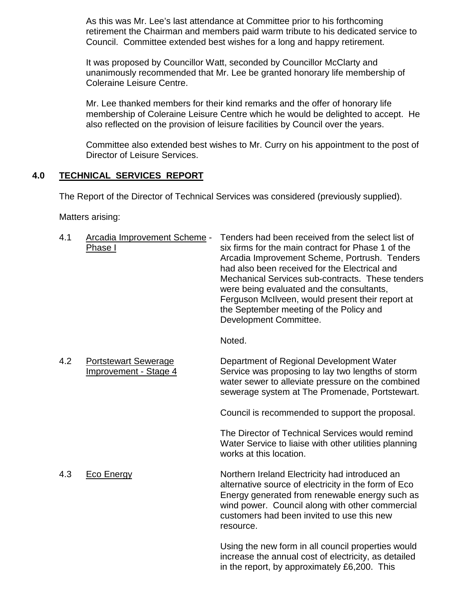As this was Mr. Lee's last attendance at Committee prior to his forthcoming retirement the Chairman and members paid warm tribute to his dedicated service to Council. Committee extended best wishes for a long and happy retirement.

It was proposed by Councillor Watt, seconded by Councillor McClarty and unanimously recommended that Mr. Lee be granted honorary life membership of Coleraine Leisure Centre.

Mr. Lee thanked members for their kind remarks and the offer of honorary life membership of Coleraine Leisure Centre which he would be delighted to accept. He also reflected on the provision of leisure facilities by Council over the years.

Committee also extended best wishes to Mr. Curry on his appointment to the post of Director of Leisure Services.

## **4.0 TECHNICAL SERVICES REPORT**

The Report of the Director of Technical Services was considered (previously supplied).

Matters arising:

| 4.1 | Arcadia Improvement Scheme -<br>Phase I              | Tenders had been received from the select list of<br>six firms for the main contract for Phase 1 of the<br>Arcadia Improvement Scheme, Portrush. Tenders<br>had also been received for the Electrical and<br>Mechanical Services sub-contracts. These tenders<br>were being evaluated and the consultants,<br>Ferguson McIIveen, would present their report at<br>the September meeting of the Policy and<br>Development Committee. |
|-----|------------------------------------------------------|-------------------------------------------------------------------------------------------------------------------------------------------------------------------------------------------------------------------------------------------------------------------------------------------------------------------------------------------------------------------------------------------------------------------------------------|
|     |                                                      | Noted.                                                                                                                                                                                                                                                                                                                                                                                                                              |
| 4.2 | <b>Portstewart Sewerage</b><br>Improvement - Stage 4 | Department of Regional Development Water<br>Service was proposing to lay two lengths of storm<br>water sewer to alleviate pressure on the combined<br>sewerage system at The Promenade, Portstewart.                                                                                                                                                                                                                                |
|     |                                                      | Council is recommended to support the proposal.                                                                                                                                                                                                                                                                                                                                                                                     |
|     |                                                      | The Director of Technical Services would remind<br>Water Service to liaise with other utilities planning<br>works at this location.                                                                                                                                                                                                                                                                                                 |
| 4.3 | <b>Eco Energy</b>                                    | Northern Ireland Electricity had introduced an<br>alternative source of electricity in the form of Eco<br>Energy generated from renewable energy such as<br>wind power. Council along with other commercial<br>customers had been invited to use this new<br>resource.                                                                                                                                                              |
|     |                                                      | Using the new form in all council properties would<br>increase the annual cost of electricity, as detailed<br>in the report, by approximately £6,200. This                                                                                                                                                                                                                                                                          |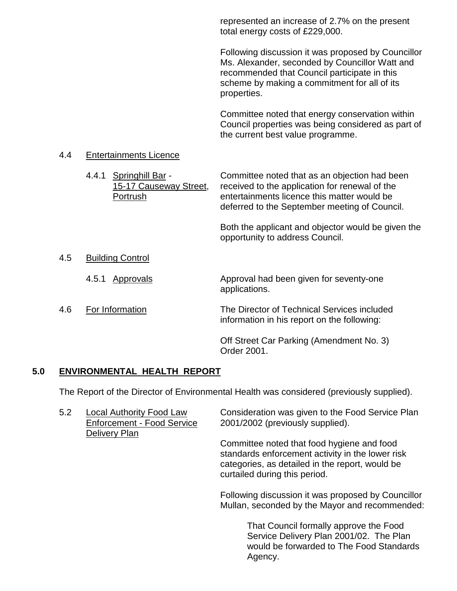represented an increase of 2.7% on the present total energy costs of £229,000.

Following discussion it was proposed by Councillor Ms. Alexander, seconded by Councillor Watt and recommended that Council participate in this scheme by making a commitment for all of its properties.

Committee noted that energy conservation within Council properties was being considered as part of the current best value programme.

#### 4.4 Entertainments Licence

|     | 4.4.1 | Springhill Bar -<br>15-17 Causeway Street,<br>Portrush | Committee noted that as an objection had been<br>received to the application for renewal of the<br>entertainments licence this matter would be<br>deferred to the September meeting of Council. |
|-----|-------|--------------------------------------------------------|-------------------------------------------------------------------------------------------------------------------------------------------------------------------------------------------------|
|     |       |                                                        | Both the applicant and objector would be given the<br>opportunity to address Council.                                                                                                           |
| 4.5 |       | <b>Building Control</b>                                |                                                                                                                                                                                                 |
|     | 4.5.1 | Approvals                                              | Approval had been given for seventy-one<br>applications.                                                                                                                                        |
| 4.6 |       | For Information                                        | The Director of Technical Services included<br>information in his report on the following:                                                                                                      |
|     |       |                                                        | Off Street Car Parking (Amendment No. 3)<br>Order 2001.                                                                                                                                         |

## **5.0 ENVIRONMENTAL HEALTH REPORT**

The Report of the Director of Environmental Health was considered (previously supplied).

| 5.2 | <b>Local Authority Food Law</b><br><b>Enforcement - Food Service</b><br>Delivery Plan | Consideration was given to the Food Service Plan<br>2001/2002 (previously supplied).                                                                                               |
|-----|---------------------------------------------------------------------------------------|------------------------------------------------------------------------------------------------------------------------------------------------------------------------------------|
|     |                                                                                       | Committee noted that food hygiene and food<br>standards enforcement activity in the lower risk<br>categories, as detailed in the report, would be<br>curtailed during this period. |
|     |                                                                                       | Following discussion it was proposed by Councillor<br>Mullan, seconded by the Mayor and recommended:                                                                               |

That Council formally approve the Food Service Delivery Plan 2001/02. The Plan would be forwarded to The Food Standards Agency.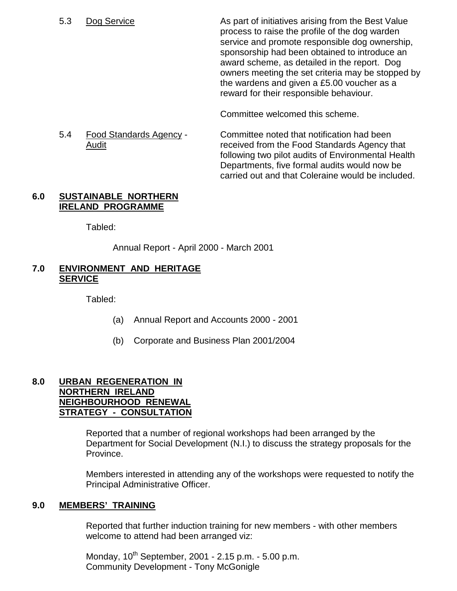5.3 Dog Service **As part of initiatives arising from the Best Value** process to raise the profile of the dog warden service and promote responsible dog ownership, sponsorship had been obtained to introduce an award scheme, as detailed in the report. Dog owners meeting the set criteria may be stopped by the wardens and given a £5.00 voucher as a reward for their responsible behaviour.

Committee welcomed this scheme.

5.4 Food Standards Agency - Committee noted that notification had been Audit received from the Food Standards Agency that following two pilot audits of Environmental Health Departments, five formal audits would now be carried out and that Coleraine would be included.

#### **6.0 SUSTAINABLE NORTHERN IRELAND PROGRAMME**

Tabled:

Annual Report - April 2000 - March 2001

## **7.0 ENVIRONMENT AND HERITAGE SERVICE**

Tabled:

- (a) Annual Report and Accounts 2000 2001
- (b) Corporate and Business Plan 2001/2004

#### **8.0 URBAN REGENERATION IN NORTHERN IRELAND NEIGHBOURHOOD RENEWAL STRATEGY - CONSULTATION**

Reported that a number of regional workshops had been arranged by the Department for Social Development (N.I.) to discuss the strategy proposals for the Province.

Members interested in attending any of the workshops were requested to notify the Principal Administrative Officer.

## **9.0 MEMBERS' TRAINING**

Reported that further induction training for new members - with other members welcome to attend had been arranged viz:

Monday,  $10^{th}$  September, 2001 - 2.15 p.m. - 5.00 p.m. Community Development - Tony McGonigle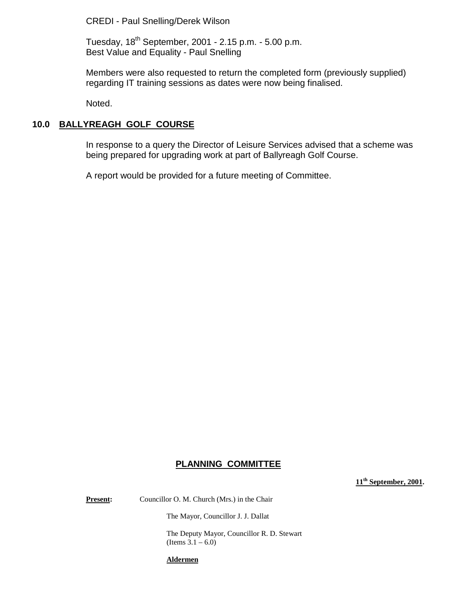CREDI - Paul Snelling/Derek Wilson

Tuesday, 18th September, 2001 - 2.15 p.m. - 5.00 p.m. Best Value and Equality - Paul Snelling

Members were also requested to return the completed form (previously supplied) regarding IT training sessions as dates were now being finalised.

Noted.

## **10.0 BALLYREAGH GOLF COURSE**

In response to a query the Director of Leisure Services advised that a scheme was being prepared for upgrading work at part of Ballyreagh Golf Course.

A report would be provided for a future meeting of Committee.

#### **PLANNING COMMITTEE**

**11th September, 2001.**

**Present:** Councillor O. M. Church (Mrs.) in the Chair

The Mayor, Councillor J. J. Dallat

The Deputy Mayor, Councillor R. D. Stewart  $(Items 3.1 - 6.0)$ 

**Aldermen**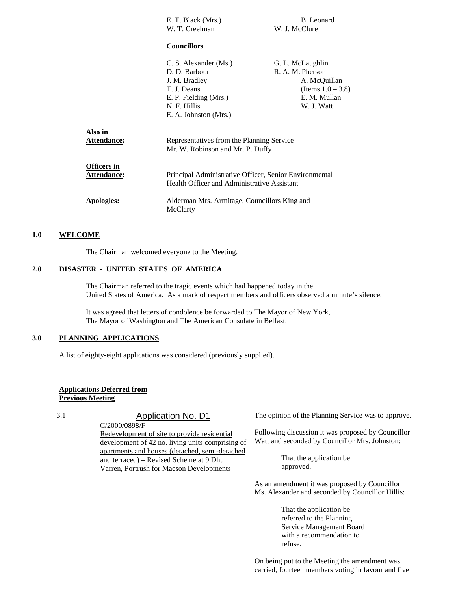|                                          | E. T. Black (Mrs.)                                                                                                                       | B. Leonard                                                                                                |
|------------------------------------------|------------------------------------------------------------------------------------------------------------------------------------------|-----------------------------------------------------------------------------------------------------------|
|                                          | W. T. Creelman                                                                                                                           | W. J. McClure                                                                                             |
|                                          | <b>Councillors</b>                                                                                                                       |                                                                                                           |
|                                          | C. S. Alexander (Ms.)<br>D. D. Barbour<br>J. M. Bradley<br>T. J. Deans<br>E. P. Fielding (Mrs.)<br>N. F. Hillis<br>E. A. Johnston (Mrs.) | G. L. McLaughlin<br>R. A. McPherson<br>A. McQuillan<br>(Items $1.0 - 3.8$ )<br>E. M. Mullan<br>W. J. Watt |
| Also in<br><b>Attendance:</b>            | Representatives from the Planning Service –<br>Mr. W. Robinson and Mr. P. Duffy                                                          |                                                                                                           |
| <b>Officers in</b><br><b>Attendance:</b> | Principal Administrative Officer, Senior Environmental<br>Health Officer and Administrative Assistant                                    |                                                                                                           |
| Apologies:                               | Alderman Mrs. Armitage, Councillors King and<br>McClarty                                                                                 |                                                                                                           |

#### **1.0 WELCOME**

The Chairman welcomed everyone to the Meeting.

#### **2.0 DISASTER - UNITED STATES OF AMERICA**

The Chairman referred to the tragic events which had happened today in the United States of America. As a mark of respect members and officers observed a minute's silence.

It was agreed that letters of condolence be forwarded to The Mayor of New York, The Mayor of Washington and The American Consulate in Belfast.

#### **3.0 PLANNING APPLICATIONS**

A list of eighty-eight applications was considered (previously supplied).

#### **Applications Deferred from Previous Meeting**

3.1 Application No. D1

C/2000/0898/F Redevelopment of site to provide residential development of 42 no. living units comprising of apartments and houses (detached, semi-detached and terraced) – Revised Scheme at 9 Dhu Varren, Portrush for Macson Developments

The opinion of the Planning Service was to approve.

Following discussion it was proposed by Councillor Watt and seconded by Councillor Mrs. Johnston:

> That the application be approved.

As an amendment it was proposed by Councillor Ms. Alexander and seconded by Councillor Hillis:

> That the application be referred to the Planning Service Management Board with a recommendation to refuse.

On being put to the Meeting the amendment was carried, fourteen members voting in favour and five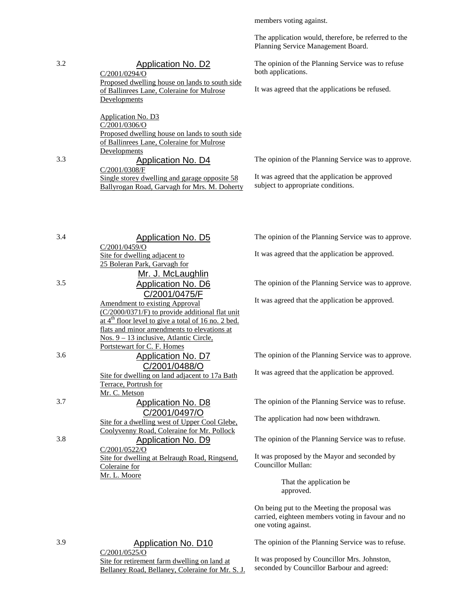Planning Service Management Board. 3.2 Application No. D2 C/2001/0294/O Proposed dwelling house on lands to south side of Ballinrees Lane, Coleraine for Mulrose Developments Application No. D3 C/2001/0306/O Proposed dwelling house on lands to south side of Ballinrees Lane, Coleraine for Mulrose Developments The opinion of the Planning Service was to refuse both applications. It was agreed that the applications be refused. 3.3 Application No. D4 C/2001/0308/F Single storey dwelling and garage opposite 58 Ballyrogan Road, Garvagh for Mrs. M. Doherty The opinion of the Planning Service was to approve. It was agreed that the application be approved subject to appropriate conditions. 3.4 Application No. D5 C/2001/0459/O Site for dwelling adjacent to 25 Boleran Park, Garvagh for Mr. J. McLaughlin The opinion of the Planning Service was to approve. It was agreed that the application be approved. 3.5 Application No. D6 C/2001/0475/F Amendment to existing Approval (C/2000/0371/F) to provide additional flat unit at  $4<sup>th</sup>$  floor level to give a total of 16 no. 2 bed. flats and minor amendments to elevations at Nos. 9 – 13 inclusive, Atlantic Circle, Portstewart for C. F. Homes The opinion of the Planning Service was to approve. It was agreed that the application be approved. 3.6 Application No. D7 C/2001/0488/O Site for dwelling on land adjacent to 17a Bath Terrace, Portrush for Mr. C. Metson The opinion of the Planning Service was to approve. It was agreed that the application be approved. 3.7 Application No. D8 C/2001/0497/O Site for a dwelling west of Upper Cool Glebe, Coolyvenny Road, Coleraine for Mr. Pollock The opinion of the Planning Service was to refuse. The application had now been withdrawn. 3.8 Application No. D9 C/2001/0522/O Site for dwelling at Belraugh Road, Ringsend, Coleraine for Mr. L. Moore The opinion of the Planning Service was to refuse. It was proposed by the Mayor and seconded by Councillor Mullan: That the application be approved. On being put to the Meeting the proposal was carried, eighteen members voting in favour and no one voting against.

members voting against.

The application would, therefore, be referred to the

3.9 Application No. D10 C/2001/0525/O Site for retirement farm dwelling on land at Bellaney Road, Bellaney, Coleraine for Mr. S. J. The opinion of the Planning Service was to refuse.

It was proposed by Councillor Mrs. Johnston, seconded by Councillor Barbour and agreed: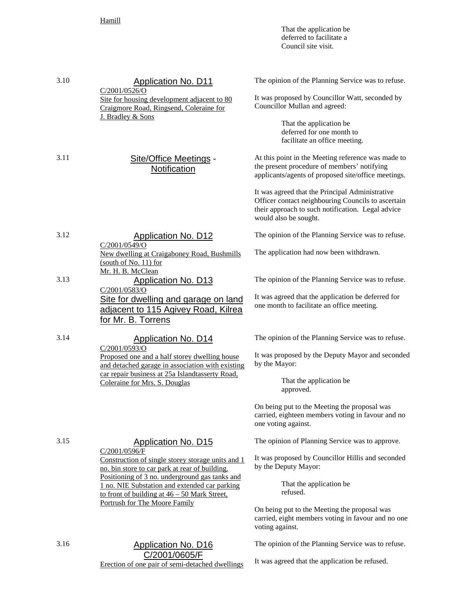It was agreed that the application be refused.

| 3.10 | <b>Application No. D11</b><br>C/2001/0526/O<br>Site for housing development adjacent to 80<br>Craigmore Road, Ringsend, Coleraine for<br>J. Bradley & Sons             | The opinion of the Planning Service was to refuse.<br>It was proposed by Councillor Watt, seconded by<br>Councillor Mullan and agreed:<br>That the application be<br>deferred for one month to<br>facilitate an office meeting.                                                                                                                 |
|------|------------------------------------------------------------------------------------------------------------------------------------------------------------------------|-------------------------------------------------------------------------------------------------------------------------------------------------------------------------------------------------------------------------------------------------------------------------------------------------------------------------------------------------|
| 3.11 | Site/Office Meetings -<br>Notification                                                                                                                                 | At this point in the Meeting reference was made to<br>the present procedure of members' notifying<br>applicants/agents of proposed site/office meetings.<br>It was agreed that the Principal Administrative<br>Officer contact neighbouring Councils to ascertain<br>their approach to such notification. Legal advice<br>would also be sought. |
| 3.12 | <b>Application No. D12</b>                                                                                                                                             | The opinion of the Planning Service was to refuse.                                                                                                                                                                                                                                                                                              |
|      | C/2001/0549/O<br>New dwelling at Craigaboney Road, Bushmills<br>(south of No. 11) for<br>Mr. H. B. McClean                                                             | The application had now been withdrawn.                                                                                                                                                                                                                                                                                                         |
| 3.13 | <b>Application No. D13</b>                                                                                                                                             | The opinion of the Planning Service was to refuse.                                                                                                                                                                                                                                                                                              |
|      | C/2001/0583/O<br>Site for dwelling and garage on land<br>adjacent to 115 Agivey Road, Kilrea<br>for Mr. B. Torrens                                                     | It was agreed that the application be deferred for<br>one month to facilitate an office meeting.                                                                                                                                                                                                                                                |
| 3.14 | <b>Application No. D14</b>                                                                                                                                             | The opinion of the Planning Service was to refuse.                                                                                                                                                                                                                                                                                              |
|      | C/2001/0593/O<br>Proposed one and a half storey dwelling house<br>and detached garage in association with existing                                                     | It was proposed by the Deputy Mayor and seconded<br>by the Mayor:                                                                                                                                                                                                                                                                               |
|      | car repair business at 25a Islandtasserty Road,<br>Coleraine for Mrs. S. Douglas                                                                                       | That the application be<br>approved.                                                                                                                                                                                                                                                                                                            |
|      |                                                                                                                                                                        | On being put to the Meeting the proposal was<br>carried, eighteen members voting in favour and no<br>one voting against.                                                                                                                                                                                                                        |
| 3.15 | <b>Application No. D15</b>                                                                                                                                             | The opinion of Planning Service was to approve.                                                                                                                                                                                                                                                                                                 |
|      | C/2001/0596/F<br>Construction of single storey storage units and 1<br>no. bin store to car park at rear of building.<br>Positioning of 3 no. underground gas tanks and | It was proposed by Councillor Hillis and seconded<br>by the Deputy Mayor:                                                                                                                                                                                                                                                                       |
|      | 1 no. NIE Substation and extended car parking<br>to front of building at $46 - 50$ Mark Street,<br>Portrush for The Moore Family                                       | That the application be<br>refused.                                                                                                                                                                                                                                                                                                             |
|      |                                                                                                                                                                        | On being put to the Meeting the proposal was<br>carried, eight members voting in favour and no one<br>voting against.                                                                                                                                                                                                                           |
| 3.16 | <b>Application No. D16</b>                                                                                                                                             | The opinion of the Planning Service was to refuse.                                                                                                                                                                                                                                                                                              |
|      | C/2001/0605/F                                                                                                                                                          |                                                                                                                                                                                                                                                                                                                                                 |

Erection of one pair of semi-detached dwellings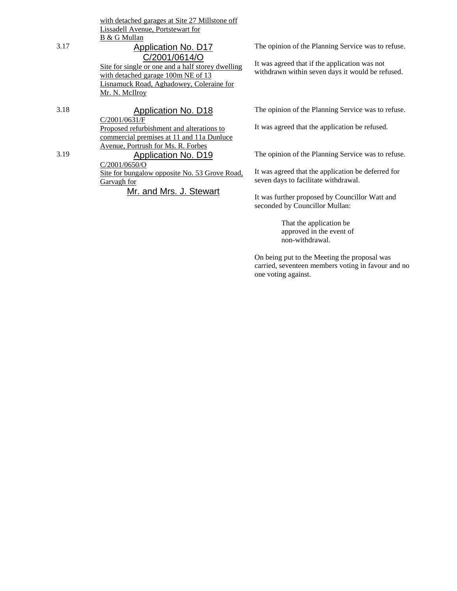|      | with detached garages at Site 27 Millstone off                                                                                                                                |                                                                                                   |
|------|-------------------------------------------------------------------------------------------------------------------------------------------------------------------------------|---------------------------------------------------------------------------------------------------|
|      | Lissadell Avenue, Portstewart for                                                                                                                                             |                                                                                                   |
|      | B & G Mullan                                                                                                                                                                  |                                                                                                   |
| 3.17 | Application No. D17                                                                                                                                                           | The opinion of the Planning Service was to refuse.                                                |
|      | C/2001/0614/O<br>Site for single or one and a half storey dwelling<br>with detached garage 100m NE of 13<br><b>Lisnamuck Road, Aghadowey, Coleraine for</b><br>Mr. N. McIlroy | It was agreed that if the application was not<br>withdrawn within seven days it would be refused. |
| 3.18 | Application No. D18                                                                                                                                                           | The opinion of the Planning Service was to refuse.                                                |
|      | C/2001/0631/F<br>Proposed refurbishment and alterations to<br>commercial premises at 11 and 11a Dunluce                                                                       | It was agreed that the application be refused.                                                    |
| 3.19 | Avenue, Portrush for Ms. R. Forbes<br>Application No. D19<br>C/2001/0650/O                                                                                                    | The opinion of the Planning Service was to refuse.                                                |
|      | <u>Site for bungalow opposite No. 53 Grove Road,</u><br>Garvagh for                                                                                                           | It was agreed that the application be deferred for<br>seven days to facilitate withdrawal.        |
|      | Mr. and Mrs. J. Stewart                                                                                                                                                       | It was further proposed by Councillor Watt and                                                    |

seconded by Councillor Mullan:

one voting against.

That the application be approved in the event of non-withdrawal.

On being put to the Meeting the proposal was carried, seventeen members voting in favour and no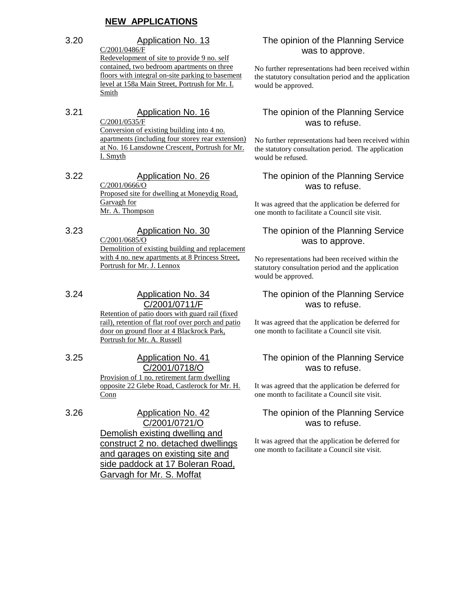## **NEW APPLICATIONS**

3.20 Application No. 13 C/2001/0486/F Redevelopment of site to provide 9 no. self contained, two bedroom apartments on three floors with integral on-site parking to basement level at 158a Main Street, Portrush for Mr. I.

Smith

#### 3.21 Application No. 16  $C/2001/0535/F$

Conversion of existing building into 4 no. apartments (including four storey rear extension) at No. 16 Lansdowne Crescent, Portrush for Mr. I. Smyth

# 3.22 Application No. 26

C/2001/0666/O Proposed site for dwelling at Moneydig Road, Garvagh for Mr. A. Thompson

# 3.23 Application No. 30

C/2001/0685/O Demolition of existing building and replacement with 4 no. new apartments at 8 Princess Street, Portrush for Mr. J. Lennox

#### 3.24 Application No. 34 C/2001/0711/F

Retention of patio doors with guard rail (fixed rail), retention of flat roof over porch and patio door on ground floor at 4 Blackrock Park, Portrush for Mr. A. Russell

#### 3.25 Application No. 41 C/2001/0718/O

Provision of 1 no. retirement farm dwelling opposite 22 Glebe Road, Castlerock for Mr. H. **Conn** 

3.26 Application No. 42 C/2001/0721/O Demolish existing dwelling and construct 2 no. detached dwellings and garages on existing site and side paddock at 17 Boleran Road, Garvagh for Mr. S. Moffat

## The opinion of the Planning Service was to approve.

No further representations had been received within the statutory consultation period and the application would be approved.

### The opinion of the Planning Service was to refuse.

No further representations had been received within the statutory consultation period. The application would be refused.

#### The opinion of the Planning Service was to refuse.

It was agreed that the application be deferred for one month to facilitate a Council site visit.

## The opinion of the Planning Service was to approve.

No representations had been received within the statutory consultation period and the application would be approved.

#### The opinion of the Planning Service was to refuse.

It was agreed that the application be deferred for one month to facilitate a Council site visit.

#### The opinion of the Planning Service was to refuse.

It was agreed that the application be deferred for one month to facilitate a Council site visit.

## The opinion of the Planning Service was to refuse.

It was agreed that the application be deferred for one month to facilitate a Council site visit.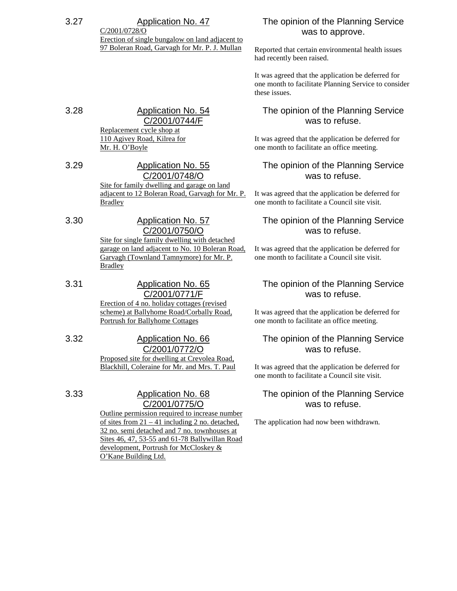#### 3.27 Application No. 47 C/2001/0728/O

Erection of single bungalow on land adjacent to 97 Boleran Road, Garvagh for Mr. P. J. Mullan

# 3.28 Application No. 54 C/2001/0744/F

Replacement cycle shop at 110 Agivey Road, Kilrea for Mr. H. O'Boyle

3.29 Application No. 55 C/2001/0748/O Site for family dwelling and garage on land adjacent to 12 Boleran Road, Garvagh for Mr. P. Bradley

# 3.30 Application No. 57 C/2001/0750/O

Site for single family dwelling with detached garage on land adjacent to No. 10 Boleran Road, Garvagh (Townland Tamnymore) for Mr. P. **Bradley** 

- 3.31 Application No. 65 C/2001/0771/F Erection of 4 no. holiday cottages (revised scheme) at Ballyhome Road/Corbally Road, Portrush for Ballyhome Cottages
- 3.32 Application No. 66 C/2001/0772/O Proposed site for dwelling at Crevolea Road, Blackhill, Coleraine for Mr. and Mrs. T. Paul

## 3.33 Application No. 68 C/2001/0775/O

Outline permission required to increase number of sites from  $21 - 41$  including 2 no. detached, 32 no. semi detached and 7 no. townhouses at Sites 46, 47, 53-55 and 61-78 Ballywillan Road development, Portrush for McCloskey & O'Kane Building Ltd.

# The opinion of the Planning Service was to approve.

Reported that certain environmental health issues had recently been raised.

It was agreed that the application be deferred for one month to facilitate Planning Service to consider these issues.

# The opinion of the Planning Service was to refuse.

It was agreed that the application be deferred for one month to facilitate an office meeting.

# The opinion of the Planning Service was to refuse.

It was agreed that the application be deferred for one month to facilitate a Council site visit.

## The opinion of the Planning Service was to refuse.

It was agreed that the application be deferred for one month to facilitate a Council site visit.

## The opinion of the Planning Service was to refuse.

It was agreed that the application be deferred for one month to facilitate an office meeting.

## The opinion of the Planning Service was to refuse.

It was agreed that the application be deferred for one month to facilitate a Council site visit.

# The opinion of the Planning Service was to refuse.

The application had now been withdrawn.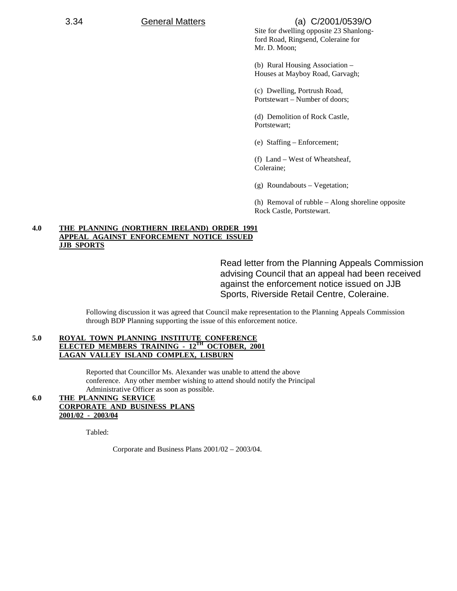## 3.34 General Matters (a) C/2001/0539/O

Site for dwelling opposite 23 Shanlongford Road, Ringsend, Coleraine for Mr. D. Moon;

(b) Rural Housing Association – Houses at Mayboy Road, Garvagh;

(c) Dwelling, Portrush Road, Portstewart – Number of doors;

(d) Demolition of Rock Castle, Portstewart;

(e) Staffing – Enforcement;

(f) Land – West of Wheatsheaf, Coleraine;

(g) Roundabouts – Vegetation;

(h) Removal of rubble – Along shoreline opposite Rock Castle, Portstewart.

#### **4.0 THE PLANNING (NORTHERN IRELAND) ORDER 1991 APPEAL AGAINST ENFORCEMENT NOTICE ISSUED JJB SPORTS**

Read letter from the Planning Appeals Commission advising Council that an appeal had been received against the enforcement notice issued on JJB Sports, Riverside Retail Centre, Coleraine.

Following discussion it was agreed that Council make representation to the Planning Appeals Commission through BDP Planning supporting the issue of this enforcement notice.

#### 5.0 ROYAL TOWN PLANNING INSTITUTE CONFERENCE<br>ELECTED MEMBERS TRAINING - 12<sup>TH</sup> OCTOBER, 2001 **ELECTED MEMBERS TRAINING - 12 LAGAN VALLEY ISLAND COMPLEX, LISBURN**

Reported that Councillor Ms. Alexander was unable to attend the above conference. Any other member wishing to attend should notify the Principal Administrative Officer as soon as possible.

#### **6.0 THE PLANNING SERVICE CORPORATE AND BUSINESS PLANS 2001/02 - 2003/04**

Tabled:

Corporate and Business Plans 2001/02 – 2003/04.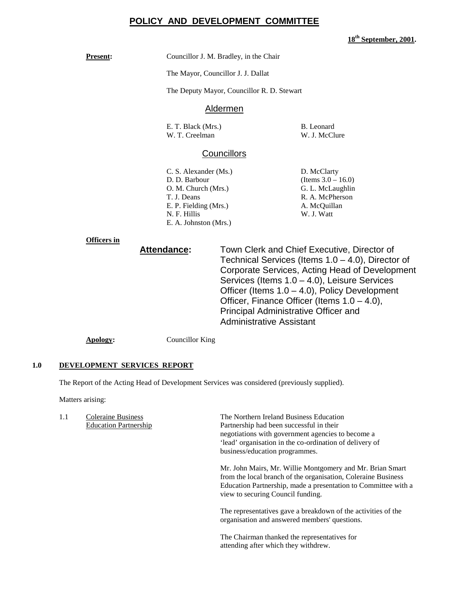## **POLICY AND DEVELOPMENT COMMITTEE**

**18th September, 2001.**

**Present:** Councillor J. M. Bradley, in the Chair

The Mayor, Councillor J. J. Dallat

The Deputy Mayor, Councillor R. D. Stewart

#### Aldermen

E. T. Black (Mrs.) B. Leonard W. T. Creelman

#### **Councillors**

C. S. Alexander (Ms.) D. McClarty D. D. Barbour (Items 3.0 – 16.0) O. M. Church (Mrs.) G. L. McLaughlin T. J. Deans R. A. McPherson E. P. Fielding (Mrs.) A. McQuillan N. F. Hillis W. J. Watt E. A. Johnston (Mrs.)

#### **Officers in**

**Attendance:** Town Clerk and Chief Executive, Director of Technical Services (Items 1.0 – 4.0), Director of Corporate Services, Acting Head of Development Services (Items 1.0 – 4.0), Leisure Services Officer (Items 1.0 – 4.0), Policy Development Officer, Finance Officer (Items 1.0 – 4.0), Principal Administrative Officer and Administrative Assistant

**Apology:** Councillor King

#### **1.0 DEVELOPMENT SERVICES REPORT**

The Report of the Acting Head of Development Services was considered (previously supplied).

Matters arising:

| 1.1 | <b>Coleraine Business</b><br><b>Education Partnership</b> | The Northern Ireland Business Education<br>Partnership had been successful in their<br>negotiations with government agencies to become a<br>'lead' organisation in the co-ordination of delivery of<br>business/education programmes. |
|-----|-----------------------------------------------------------|---------------------------------------------------------------------------------------------------------------------------------------------------------------------------------------------------------------------------------------|
|     |                                                           | Mr. John Mairs, Mr. Willie Montgomery and Mr. Brian Smart<br>from the local branch of the organisation, Coleraine Business<br>Education Partnership, made a presentation to Committee with a<br>view to securing Council funding.     |
|     |                                                           | The representatives gave a breakdown of the activities of the<br>organisation and answered members' questions.                                                                                                                        |
|     |                                                           | The Chairman thanked the representatives for                                                                                                                                                                                          |

I he Chairman thanked the representatives for attending after which they withdrew.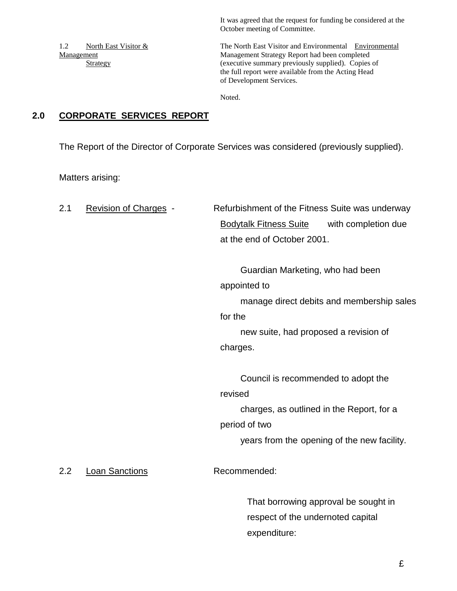It was agreed that the request for funding be considered at the October meeting of Committee.

1.2 North East Visitor & The North East Visitor and Environmental Environmental Management Management Strategy Report had been completed Strategy (executive summary previously supplied). Copies of the full report were available from the Acting Head of Development Services.

Noted.

# **2.0 CORPORATE SERVICES REPORT**

The Report of the Director of Corporate Services was considered (previously supplied).

Matters arising:

2.1 Revision of Charges - Refurbishment of the Fitness Suite was underway Bodytalk Fitness Suite with completion due at the end of October 2001. Guardian Marketing, who had been appointed to manage direct debits and membership sales for the new suite, had proposed a revision of charges. Council is recommended to adopt the revised charges, as outlined in the Report, for a period of two years from the opening of the new facility. 2.2 Loan Sanctions Recommended: That borrowing approval be sought in respect of the undernoted capital

expenditure: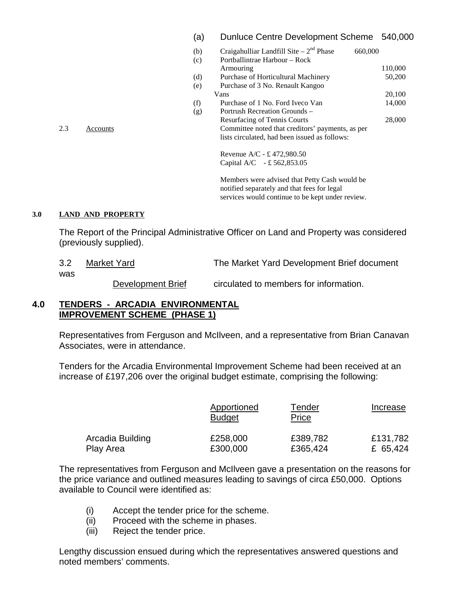## (a) Dunluce Centre Development Scheme 540,000

|     |          | (b) | Craigahulliar Landfill Site $-2nd$ Phase         | 660,000 |
|-----|----------|-----|--------------------------------------------------|---------|
|     |          | (c) | Portballintrae Harbour – Rock                    |         |
|     |          |     | Armouring                                        | 110,000 |
|     |          | (d) | Purchase of Horticultural Machinery              | 50,200  |
|     |          | (e) | Purchase of 3 No. Renault Kangoo                 |         |
|     |          |     | Vans                                             | 20,100  |
|     |          | (f) | Purchase of 1 No. Ford Iveco Van                 | 14,000  |
|     |          | (g) | Portrush Recreation Grounds –                    |         |
|     |          |     | <b>Resurfacing of Tennis Courts</b>              | 28,000  |
| 2.3 | Accounts |     | Committee noted that creditors' payments, as per |         |
|     |          |     | lists circulated, had been issued as follows:    |         |
|     |          |     |                                                  |         |

Revenue A/C - £ 472,980.50 Capital A/C - £ 562,853.05

Members were advised that Petty Cash would be notified separately and that fees for legal services would continue to be kept under review.

#### **3.0 LAND AND PROPERTY**

The Report of the Principal Administrative Officer on Land and Property was considered (previously supplied).

| 3.2 | Market Yard       | The Market Yard Development Brief document |  |
|-----|-------------------|--------------------------------------------|--|
| was |                   |                                            |  |
|     | Development Brief | circulated to members for information.     |  |

#### **4.0 TENDERS - ARCADIA ENVIRONMENTAL IMPROVEMENT SCHEME (PHASE 1)**

Representatives from Ferguson and McIlveen, and a representative from Brian Canavan Associates, were in attendance.

Tenders for the Arcadia Environmental Improvement Scheme had been received at an increase of £197,206 over the original budget estimate, comprising the following:

|                  | Apportioned<br><b>Budget</b> | Tender<br><u>Price</u> | Increase |
|------------------|------------------------------|------------------------|----------|
| Arcadia Building | £258,000                     | £389,782               | £131,782 |
| Play Area        | £300,000                     | £365,424               | £ 65,424 |

The representatives from Ferguson and McIlveen gave a presentation on the reasons for the price variance and outlined measures leading to savings of circa £50,000. Options available to Council were identified as:

- (i) Accept the tender price for the scheme.
- (ii) Proceed with the scheme in phases.
- (iii) Reject the tender price.

Lengthy discussion ensued during which the representatives answered questions and noted members' comments.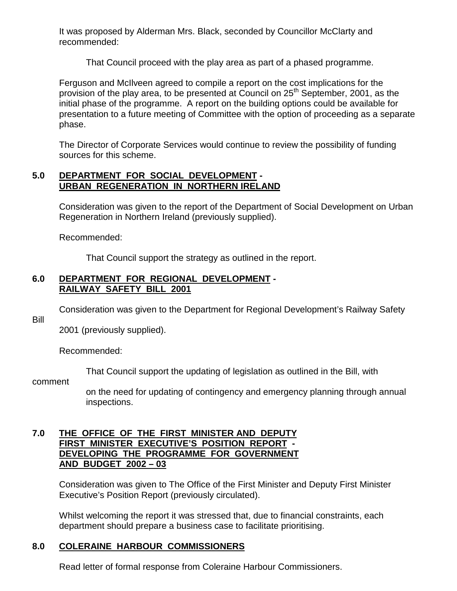It was proposed by Alderman Mrs. Black, seconded by Councillor McClarty and recommended:

That Council proceed with the play area as part of a phased programme.

Ferguson and McIlveen agreed to compile a report on the cost implications for the provision of the play area, to be presented at Council on 25<sup>th</sup> September, 2001, as the initial phase of the programme. A report on the building options could be available for presentation to a future meeting of Committee with the option of proceeding as a separate phase.

The Director of Corporate Services would continue to review the possibility of funding sources for this scheme.

## **5.0 DEPARTMENT FOR SOCIAL DEVELOPMENT - URBAN REGENERATION IN NORTHERN IRELAND**

Consideration was given to the report of the Department of Social Development on Urban Regeneration in Northern Ireland (previously supplied).

Recommended:

That Council support the strategy as outlined in the report.

## **6.0 DEPARTMENT FOR REGIONAL DEVELOPMENT - RAILWAY SAFETY BILL 2001**

Consideration was given to the Department for Regional Development's Railway Safety

Bill

2001 (previously supplied).

Recommended:

That Council support the updating of legislation as outlined in the Bill, with

comment

on the need for updating of contingency and emergency planning through annual inspections.

#### **7.0 THE OFFICE OF THE FIRST MINISTER AND DEPUTY FIRST MINISTER EXECUTIVE'S POSITION REPORT - DEVELOPING THE PROGRAMME FOR GOVERNMENT AND BUDGET 2002 – 03**

Consideration was given to The Office of the First Minister and Deputy First Minister Executive's Position Report (previously circulated).

Whilst welcoming the report it was stressed that, due to financial constraints, each department should prepare a business case to facilitate prioritising.

# **8.0 COLERAINE HARBOUR COMMISSIONERS**

Read letter of formal response from Coleraine Harbour Commissioners.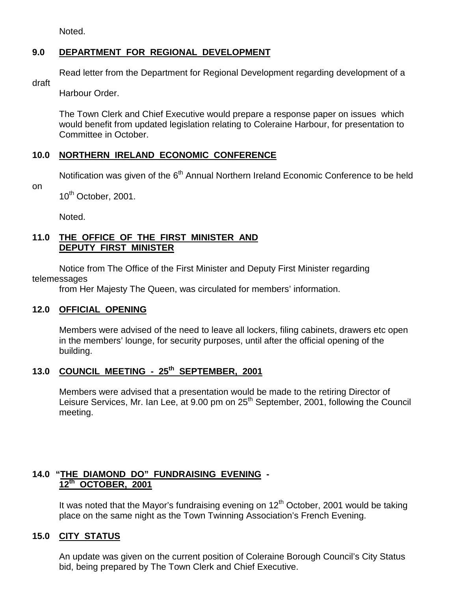Noted.

# **9.0 DEPARTMENT FOR REGIONAL DEVELOPMENT**

Read letter from the Department for Regional Development regarding development of a

draft

Harbour Order.

The Town Clerk and Chief Executive would prepare a response paper on issues which would benefit from updated legislation relating to Coleraine Harbour, for presentation to Committee in October.

# **10.0 NORTHERN IRELAND ECONOMIC CONFERENCE**

Notification was given of the  $6<sup>th</sup>$  Annual Northern Ireland Economic Conference to be held

on

10<sup>th</sup> October, 2001.

Noted.

## **11.0 THE OFFICE OF THE FIRST MINISTER AND DEPUTY FIRST MINISTER**

Notice from The Office of the First Minister and Deputy First Minister regarding telemessages

from Her Majesty The Queen, was circulated for members' information.

# **12.0 OFFICIAL OPENING**

Members were advised of the need to leave all lockers, filing cabinets, drawers etc open in the members' lounge, for security purposes, until after the official opening of the building.

# **13.0 COUNCIL MEETING - 25th SEPTEMBER, 2001**

Members were advised that a presentation would be made to the retiring Director of Leisure Services, Mr. Ian Lee, at 9.00 pm on 25<sup>th</sup> September, 2001, following the Council meeting.

# **14.0 "THE DIAMOND DO" FUNDRAISING EVENING - 12th OCTOBER, 2001**

It was noted that the Mayor's fundraising evening on  $12<sup>th</sup>$  October, 2001 would be taking place on the same night as the Town Twinning Association's French Evening.

# **15.0 CITY STATUS**

An update was given on the current position of Coleraine Borough Council's City Status bid, being prepared by The Town Clerk and Chief Executive.